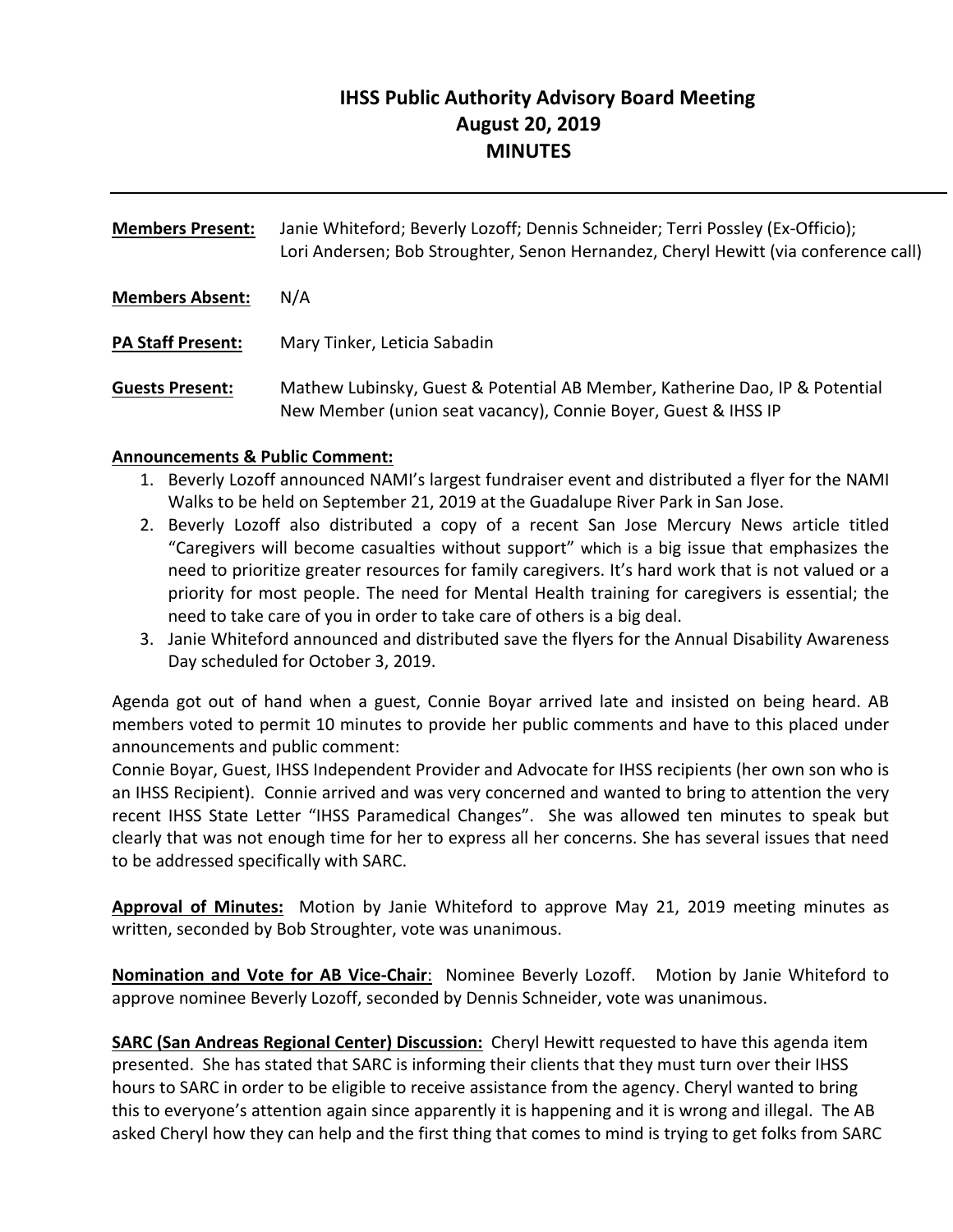# **IHSS Public Authority Advisory Board Meeting August 20, 2019 MINUTES**

| <b>Members Present:</b> | Janie Whiteford; Beverly Lozoff; Dennis Schneider; Terri Possley (Ex-Officio);<br>Lori Andersen; Bob Stroughter, Senon Hernandez, Cheryl Hewitt (via conference call) |
|-------------------------|-----------------------------------------------------------------------------------------------------------------------------------------------------------------------|
| <b>Members Absent:</b>  | N/A                                                                                                                                                                   |
| PA Staff Present:       | Mary Tinker, Leticia Sabadin                                                                                                                                          |
| <b>Guests Present:</b>  | Mathew Lubinsky, Guest & Potential AB Member, Katherine Dao, IP & Potential<br>New Member (union seat vacancy), Connie Boyer, Guest & IHSS IP                         |

## **Announcements & Public Comment:**

- 1. Beverly Lozoff announced NAMI's largest fundraiser event and distributed a flyer for the NAMI Walks to be held on September 21, 2019 at the Guadalupe River Park in San Jose.
- 2. Beverly Lozoff also distributed a copy of a recent San Jose Mercury News article titled "Caregivers will become casualties without support" which is a big issue that emphasizes the need to prioritize greater resources for family caregivers. It's hard work that is not valued or a priority for most people. The need for Mental Health training for caregivers is essential; the need to take care of you in order to take care of others is a big deal.
- 3. Janie Whiteford announced and distributed save the flyers for the Annual Disability Awareness Day scheduled for October 3, 2019.

Agenda got out of hand when a guest, Connie Boyar arrived late and insisted on being heard. AB members voted to permit 10 minutes to provide her public comments and have to this placed under announcements and public comment:

Connie Boyar, Guest, IHSS Independent Provider and Advocate for IHSS recipients (her own son who is an IHSS Recipient). Connie arrived and was very concerned and wanted to bring to attention the very recent IHSS State Letter "IHSS Paramedical Changes". She was allowed ten minutes to speak but clearly that was not enough time for her to express all her concerns. She has several issues that need to be addressed specifically with SARC.

**Approval of Minutes:** Motion by Janie Whiteford to approve May 21, 2019 meeting minutes as written, seconded by Bob Stroughter, vote was unanimous.

**Nomination and Vote for AB Vice-Chair:** Nominee Beverly Lozoff. Motion by Janie Whiteford to approve nominee Beverly Lozoff, seconded by Dennis Schneider, vote was unanimous.

**SARC (San Andreas Regional Center) Discussion:** Cheryl Hewitt requested to have this agenda item presented. She has stated that SARC is informing their clients that they must turn over their IHSS hours to SARC in order to be eligible to receive assistance from the agency. Cheryl wanted to bring this to everyone's attention again since apparently it is happening and it is wrong and illegal. The AB asked Cheryl how they can help and the first thing that comes to mind is trying to get folks from SARC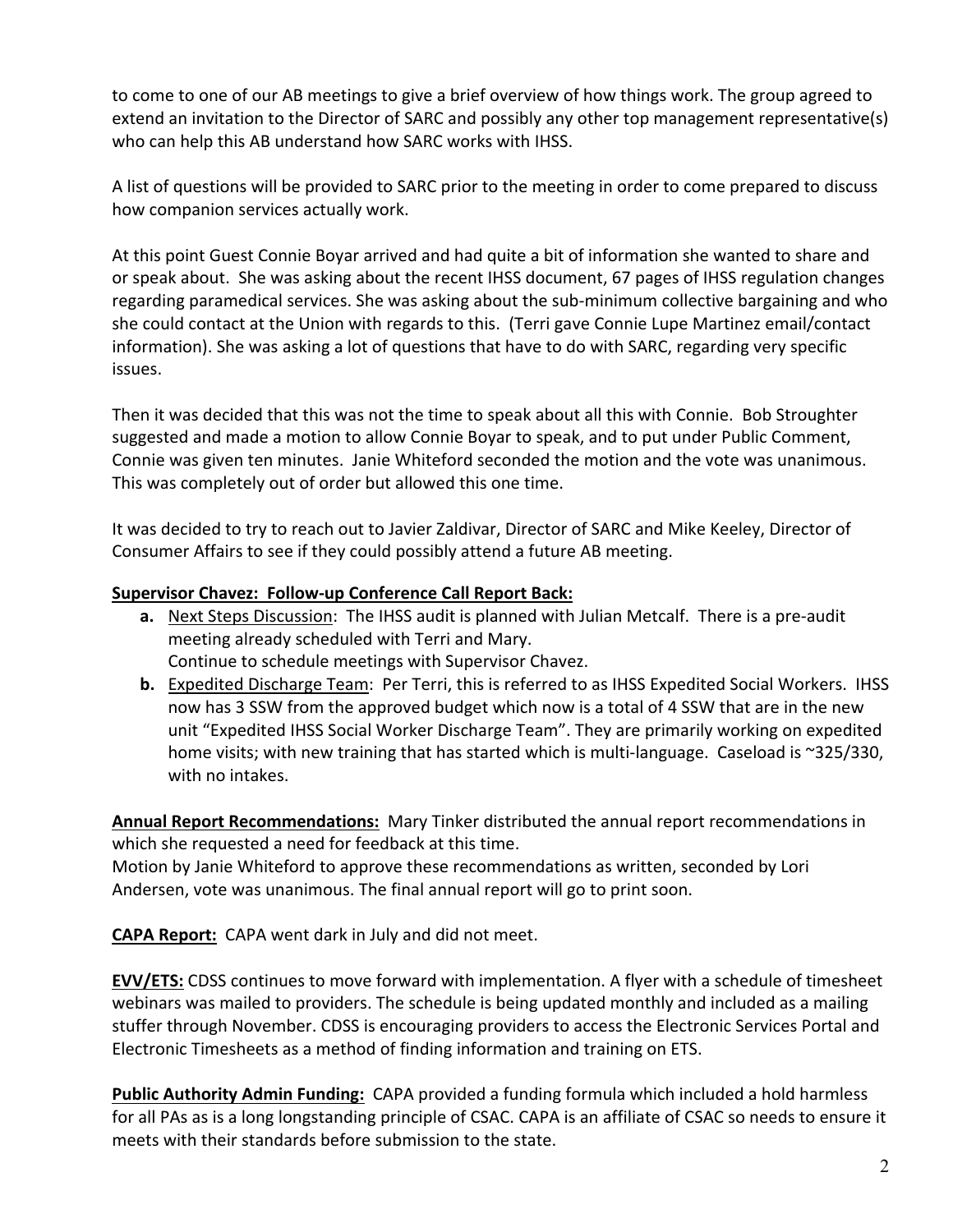to come to one of our AB meetings to give a brief overview of how things work. The group agreed to extend an invitation to the Director of SARC and possibly any other top management representative(s) who can help this AB understand how SARC works with IHSS.

A list of questions will be provided to SARC prior to the meeting in order to come prepared to discuss how companion services actually work.

At this point Guest Connie Boyar arrived and had quite a bit of information she wanted to share and or speak about. She was asking about the recent IHSS document, 67 pages of IHSS regulation changes regarding paramedical services. She was asking about the sub‐minimum collective bargaining and who she could contact at the Union with regards to this. (Terri gave Connie Lupe Martinez email/contact information). She was asking a lot of questions that have to do with SARC, regarding very specific issues.

Then it was decided that this was not the time to speak about all this with Connie. Bob Stroughter suggested and made a motion to allow Connie Boyar to speak, and to put under Public Comment, Connie was given ten minutes. Janie Whiteford seconded the motion and the vote was unanimous. This was completely out of order but allowed this one time.

It was decided to try to reach out to Javier Zaldivar, Director of SARC and Mike Keeley, Director of Consumer Affairs to see if they could possibly attend a future AB meeting.

## **Supervisor Chavez: Follow‐up Conference Call Report Back:**

- **a.** Next Steps Discussion: The IHSS audit is planned with Julian Metcalf. There is a pre‐audit meeting already scheduled with Terri and Mary. Continue to schedule meetings with Supervisor Chavez.
- **b.** Expedited Discharge Team: Per Terri, this is referred to as IHSS Expedited Social Workers. IHSS now has 3 SSW from the approved budget which now is a total of 4 SSW that are in the new unit "Expedited IHSS Social Worker Discharge Team". They are primarily working on expedited home visits; with new training that has started which is multi-language. Caseload is ~325/330, with no intakes.

Annual Report Recommendations: Mary Tinker distributed the annual report recommendations in which she requested a need for feedback at this time.

Motion by Janie Whiteford to approve these recommendations as written, seconded by Lori Andersen, vote was unanimous. The final annual report will go to print soon.

**CAPA Report:** CAPA went dark in July and did not meet.

**EVV/ETS:** CDSS continues to move forward with implementation. A flyer with a schedule of timesheet webinars was mailed to providers. The schedule is being updated monthly and included as a mailing stuffer through November. CDSS is encouraging providers to access the Electronic Services Portal and Electronic Timesheets as a method of finding information and training on ETS.

**Public Authority Admin Funding:** CAPA provided a funding formula which included a hold harmless for all PAs as is a long longstanding principle of CSAC. CAPA is an affiliate of CSAC so needs to ensure it meets with their standards before submission to the state.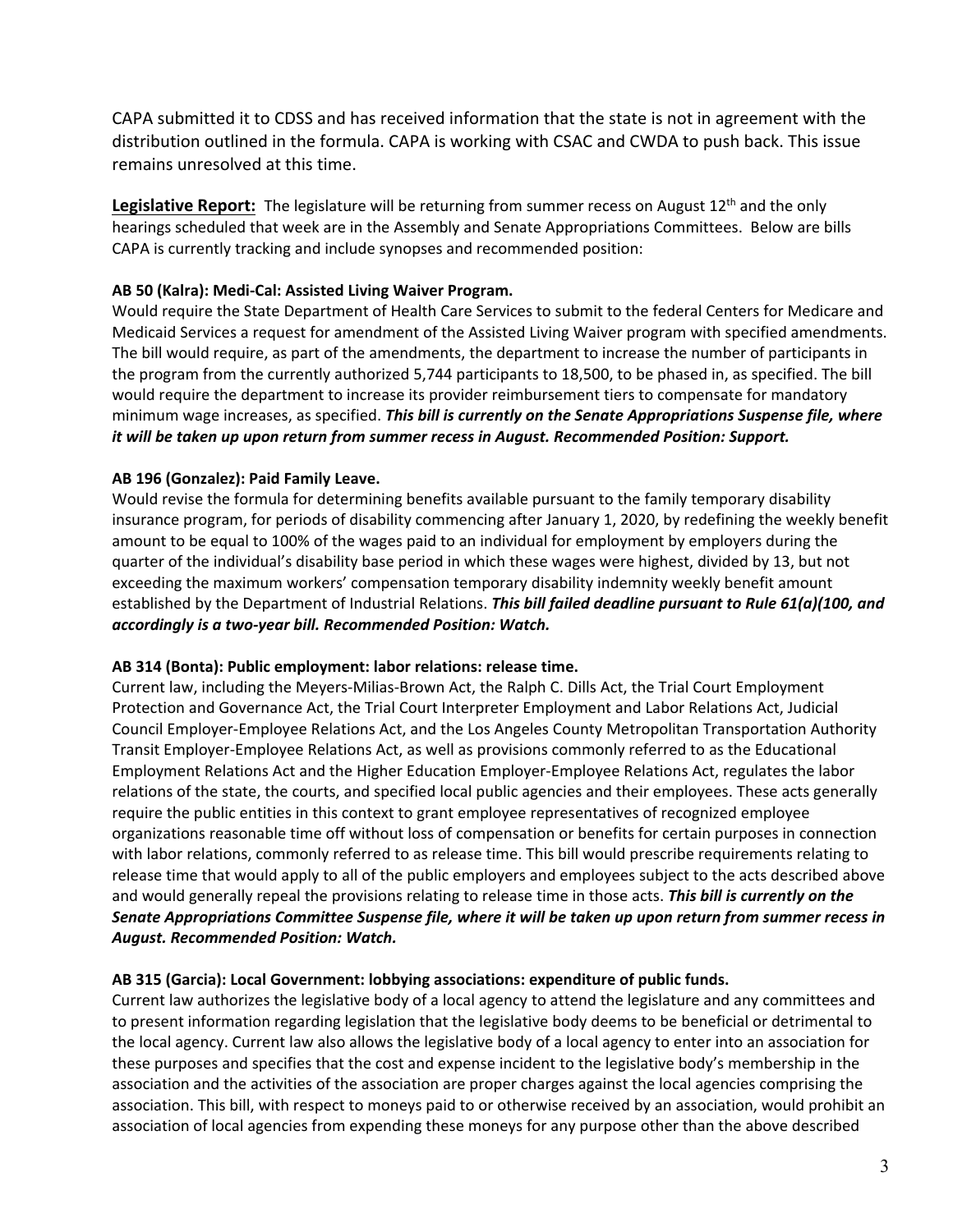CAPA submitted it to CDSS and has received information that the state is not in agreement with the distribution outlined in the formula. CAPA is working with CSAC and CWDA to push back. This issue remains unresolved at this time.

**Legislative Report:** The legislature will be returning from summer recess on August 12<sup>th</sup> and the only hearings scheduled that week are in the Assembly and Senate Appropriations Committees. Below are bills CAPA is currently tracking and include synopses and recommended position:

#### **AB 50 (Kalra): Medi‐Cal: Assisted Living Waiver Program.**

Would require the State Department of Health Care Services to submit to the federal Centers for Medicare and Medicaid Services a request for amendment of the Assisted Living Waiver program with specified amendments. The bill would require, as part of the amendments, the department to increase the number of participants in the program from the currently authorized 5,744 participants to 18,500, to be phased in, as specified. The bill would require the department to increase its provider reimbursement tiers to compensate for mandatory minimum wage increases, as specified. *This bill is currently on the Senate Appropriations Suspense file, where it will be taken up upon return from summer recess in August. Recommended Position: Support.* 

#### **AB 196 (Gonzalez): Paid Family Leave.**

Would revise the formula for determining benefits available pursuant to the family temporary disability insurance program, for periods of disability commencing after January 1, 2020, by redefining the weekly benefit amount to be equal to 100% of the wages paid to an individual for employment by employers during the quarter of the individual's disability base period in which these wages were highest, divided by 13, but not exceeding the maximum workers' compensation temporary disability indemnity weekly benefit amount established by the Department of Industrial Relations. *This bill failed deadline pursuant to Rule 61(a)(100, and accordingly is a two‐year bill. Recommended Position: Watch.*

#### **AB 314 (Bonta): Public employment: labor relations: release time.**

Current law, including the Meyers‐Milias‐Brown Act, the Ralph C. Dills Act, the Trial Court Employment Protection and Governance Act, the Trial Court Interpreter Employment and Labor Relations Act, Judicial Council Employer‐Employee Relations Act, and the Los Angeles County Metropolitan Transportation Authority Transit Employer‐Employee Relations Act, as well as provisions commonly referred to as the Educational Employment Relations Act and the Higher Education Employer‐Employee Relations Act, regulates the labor relations of the state, the courts, and specified local public agencies and their employees. These acts generally require the public entities in this context to grant employee representatives of recognized employee organizations reasonable time off without loss of compensation or benefits for certain purposes in connection with labor relations, commonly referred to as release time. This bill would prescribe requirements relating to release time that would apply to all of the public employers and employees subject to the acts described above and would generally repeal the provisions relating to release time in those acts. *This bill is currently on the Senate Appropriations Committee Suspense file, where it will be taken up upon return from summer recess in August. Recommended Position: Watch.*

#### **AB 315 (Garcia): Local Government: lobbying associations: expenditure of public funds.**

Current law authorizes the legislative body of a local agency to attend the legislature and any committees and to present information regarding legislation that the legislative body deems to be beneficial or detrimental to the local agency. Current law also allows the legislative body of a local agency to enter into an association for these purposes and specifies that the cost and expense incident to the legislative body's membership in the association and the activities of the association are proper charges against the local agencies comprising the association. This bill, with respect to moneys paid to or otherwise received by an association, would prohibit an association of local agencies from expending these moneys for any purpose other than the above described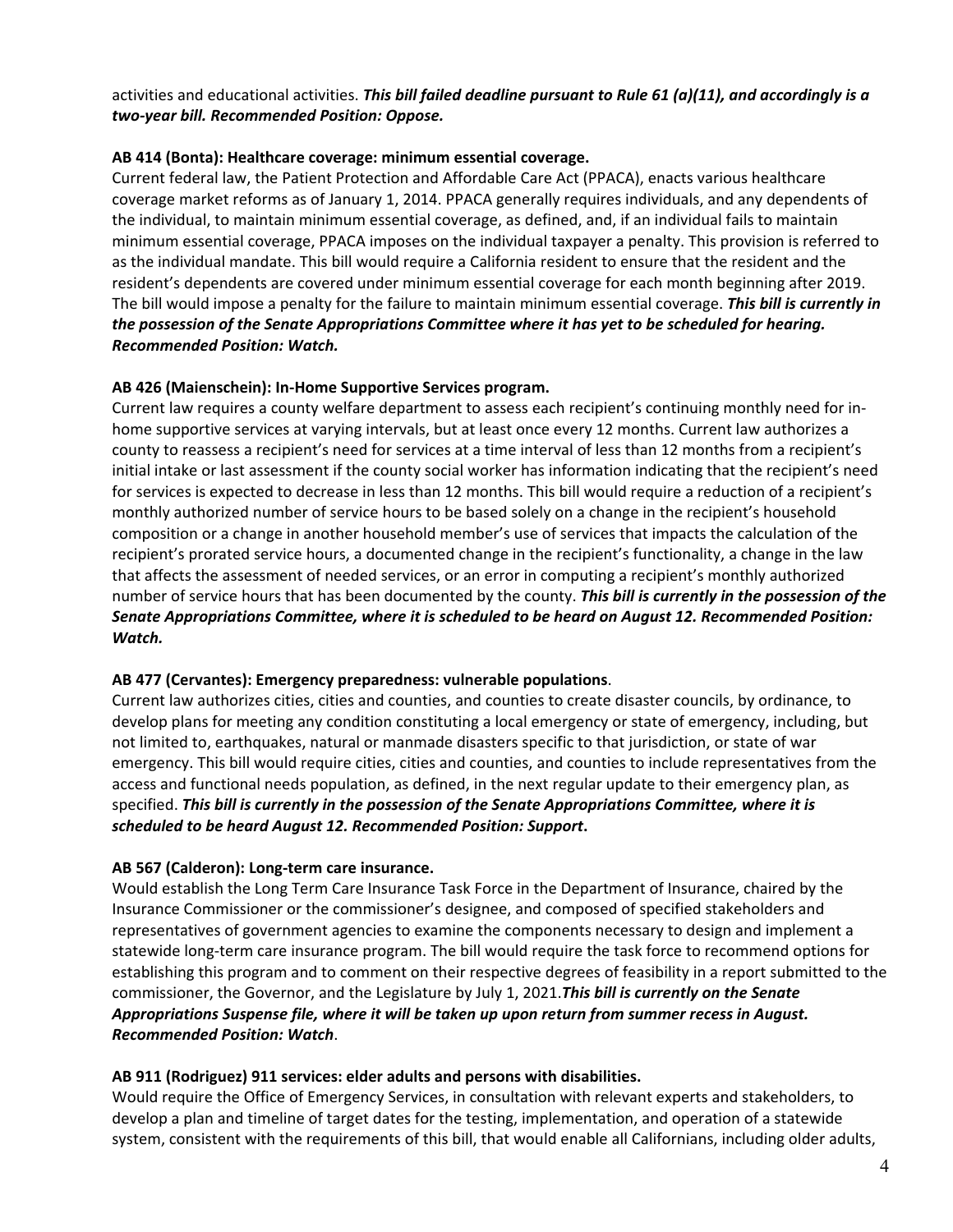## activities and educational activities. *This bill failed deadline pursuant to Rule 61 (a)(11), and accordingly is a two‐year bill. Recommended Position: Oppose.*

#### **AB 414 (Bonta): Healthcare coverage: minimum essential coverage.**

Current federal law, the Patient Protection and Affordable Care Act (PPACA), enacts various healthcare coverage market reforms as of January 1, 2014. PPACA generally requires individuals, and any dependents of the individual, to maintain minimum essential coverage, as defined, and, if an individual fails to maintain minimum essential coverage, PPACA imposes on the individual taxpayer a penalty. This provision is referred to as the individual mandate. This bill would require a California resident to ensure that the resident and the resident's dependents are covered under minimum essential coverage for each month beginning after 2019. The bill would impose a penalty for the failure to maintain minimum essential coverage. *This bill is currently in the possession of the Senate Appropriations Committee where it has yet to be scheduled for hearing. Recommended Position: Watch.* 

#### **AB 426 (Maienschein): In‐Home Supportive Services program.**

Current law requires a county welfare department to assess each recipient's continuing monthly need for in‐ home supportive services at varying intervals, but at least once every 12 months. Current law authorizes a county to reassess a recipient's need for services at a time interval of less than 12 months from a recipient's initial intake or last assessment if the county social worker has information indicating that the recipient's need for services is expected to decrease in less than 12 months. This bill would require a reduction of a recipient's monthly authorized number of service hours to be based solely on a change in the recipient's household composition or a change in another household member's use of services that impacts the calculation of the recipient's prorated service hours, a documented change in the recipient's functionality, a change in the law that affects the assessment of needed services, or an error in computing a recipient's monthly authorized number of service hours that has been documented by the county. *This bill is currently in the possession of the Senate Appropriations Committee, where it is scheduled to be heard on August 12. Recommended Position: Watch.* 

## **AB 477 (Cervantes): Emergency preparedness: vulnerable populations**.

Current law authorizes cities, cities and counties, and counties to create disaster councils, by ordinance, to develop plans for meeting any condition constituting a local emergency or state of emergency, including, but not limited to, earthquakes, natural or manmade disasters specific to that jurisdiction, or state of war emergency. This bill would require cities, cities and counties, and counties to include representatives from the access and functional needs population, as defined, in the next regular update to their emergency plan, as specified. *This bill is currently in the possession of the Senate Appropriations Committee, where it is scheduled to be heard August 12. Recommended Position: Support***.**

## **AB 567 (Calderon): Long‐term care insurance.**

Would establish the Long Term Care Insurance Task Force in the Department of Insurance, chaired by the Insurance Commissioner or the commissioner's designee, and composed of specified stakeholders and representatives of government agencies to examine the components necessary to design and implement a statewide long‐term care insurance program. The bill would require the task force to recommend options for establishing this program and to comment on their respective degrees of feasibility in a report submitted to the commissioner, the Governor, and the Legislature by July 1, 2021.*This bill is currently on the Senate Appropriations Suspense file, where it will be taken up upon return from summer recess in August. Recommended Position: Watch*.

#### **AB 911 (Rodriguez) 911 services: elder adults and persons with disabilities.**

Would require the Office of Emergency Services, in consultation with relevant experts and stakeholders, to develop a plan and timeline of target dates for the testing, implementation, and operation of a statewide system, consistent with the requirements of this bill, that would enable all Californians, including older adults,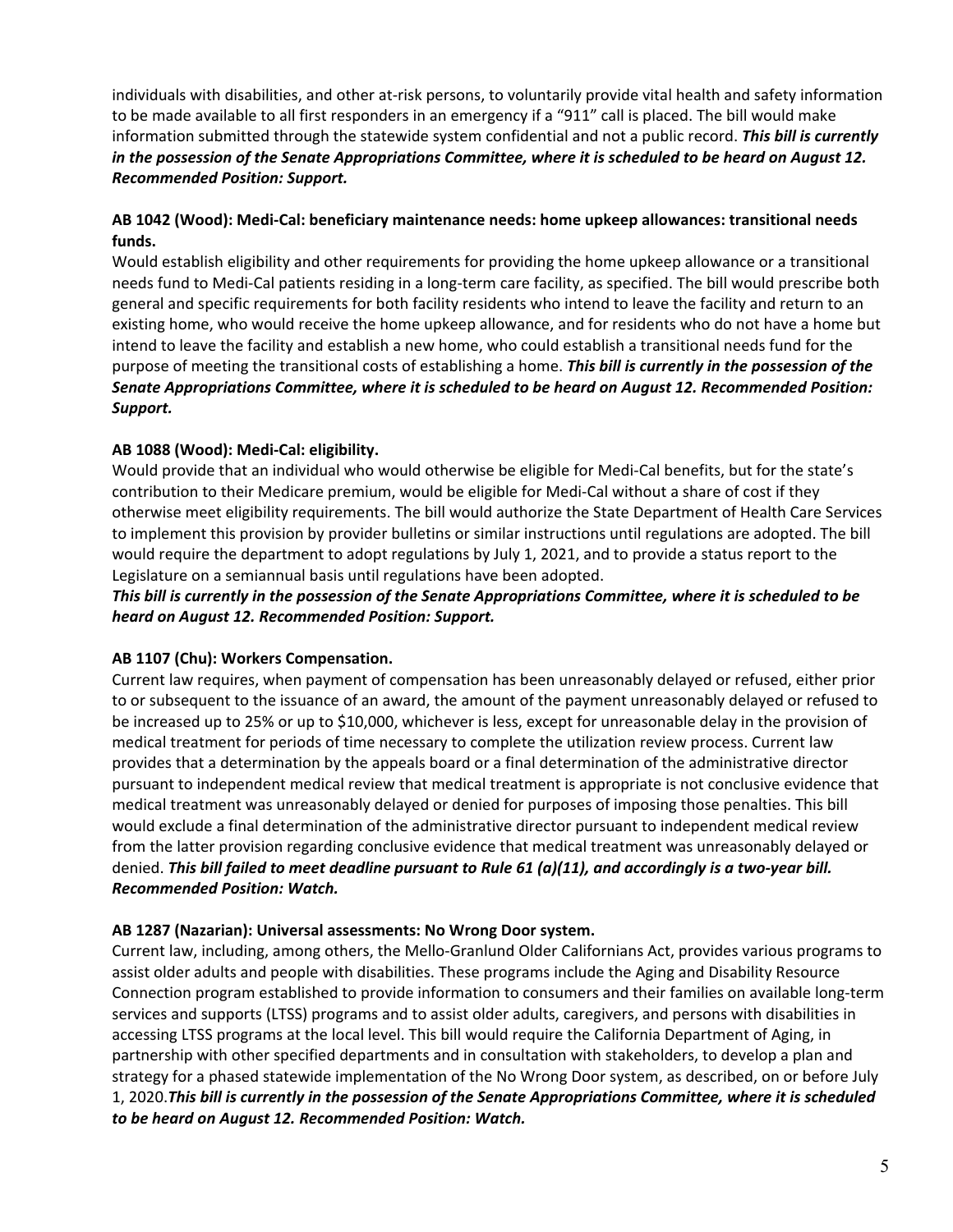individuals with disabilities, and other at-risk persons, to voluntarily provide vital health and safety information to be made available to all first responders in an emergency if a "911" call is placed. The bill would make information submitted through the statewide system confidential and not a public record. *This bill is currently in the possession of the Senate Appropriations Committee, where it is scheduled to be heard on August 12. Recommended Position: Support.*

## **AB 1042 (Wood): Medi‐Cal: beneficiary maintenance needs: home upkeep allowances: transitional needs funds.**

Would establish eligibility and other requirements for providing the home upkeep allowance or a transitional needs fund to Medi‐Cal patients residing in a long‐term care facility, as specified. The bill would prescribe both general and specific requirements for both facility residents who intend to leave the facility and return to an existing home, who would receive the home upkeep allowance, and for residents who do not have a home but intend to leave the facility and establish a new home, who could establish a transitional needs fund for the purpose of meeting the transitional costs of establishing a home. *This bill is currently in the possession of the Senate Appropriations Committee, where it is scheduled to be heard on August 12. Recommended Position: Support.*

## **AB 1088 (Wood): Medi‐Cal: eligibility.**

Would provide that an individual who would otherwise be eligible for Medi-Cal benefits, but for the state's contribution to their Medicare premium, would be eligible for Medi‐Cal without a share of cost if they otherwise meet eligibility requirements. The bill would authorize the State Department of Health Care Services to implement this provision by provider bulletins or similar instructions until regulations are adopted. The bill would require the department to adopt regulations by July 1, 2021, and to provide a status report to the Legislature on a semiannual basis until regulations have been adopted.

## *This bill is currently in the possession of the Senate Appropriations Committee, where it is scheduled to be heard on August 12. Recommended Position: Support.*

## **AB 1107 (Chu): Workers Compensation.**

Current law requires, when payment of compensation has been unreasonably delayed or refused, either prior to or subsequent to the issuance of an award, the amount of the payment unreasonably delayed or refused to be increased up to 25% or up to \$10,000, whichever is less, except for unreasonable delay in the provision of medical treatment for periods of time necessary to complete the utilization review process. Current law provides that a determination by the appeals board or a final determination of the administrative director pursuant to independent medical review that medical treatment is appropriate is not conclusive evidence that medical treatment was unreasonably delayed or denied for purposes of imposing those penalties. This bill would exclude a final determination of the administrative director pursuant to independent medical review from the latter provision regarding conclusive evidence that medical treatment was unreasonably delayed or denied. *This bill failed to meet deadline pursuant to Rule 61 (a)(11), and accordingly is a two‐year bill. Recommended Position: Watch.* 

## **AB 1287 (Nazarian): Universal assessments: No Wrong Door system.**

Current law, including, among others, the Mello‐Granlund Older Californians Act, provides various programs to assist older adults and people with disabilities. These programs include the Aging and Disability Resource Connection program established to provide information to consumers and their families on available long‐term services and supports (LTSS) programs and to assist older adults, caregivers, and persons with disabilities in accessing LTSS programs at the local level. This bill would require the California Department of Aging, in partnership with other specified departments and in consultation with stakeholders, to develop a plan and strategy for a phased statewide implementation of the No Wrong Door system, as described, on or before July 1, 2020.*This bill is currently in the possession of the Senate Appropriations Committee, where it is scheduled to be heard on August 12. Recommended Position: Watch.*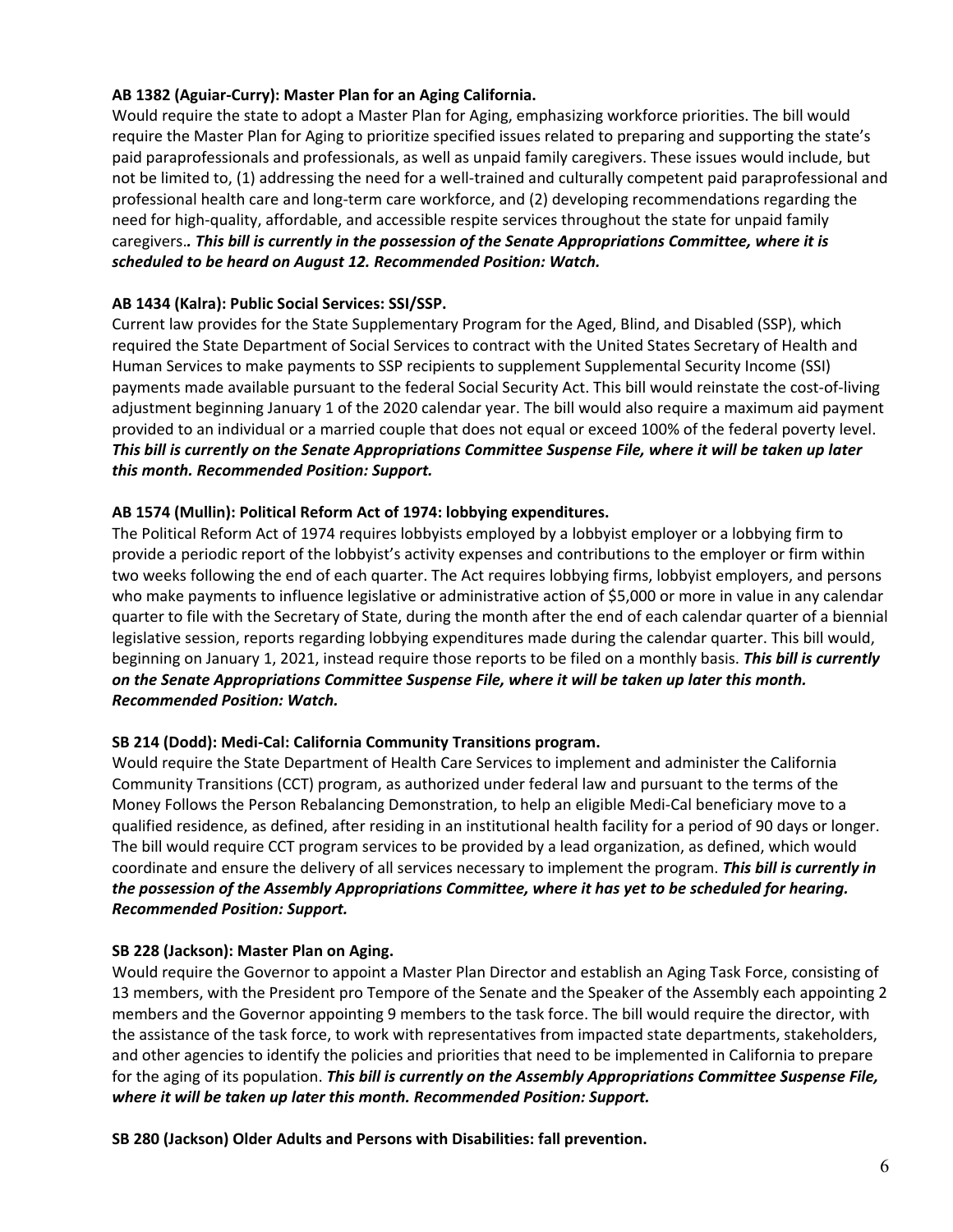## **AB 1382 (Aguiar‐Curry): Master Plan for an Aging California.**

Would require the state to adopt a Master Plan for Aging, emphasizing workforce priorities. The bill would require the Master Plan for Aging to prioritize specified issues related to preparing and supporting the state's paid paraprofessionals and professionals, as well as unpaid family caregivers. These issues would include, but not be limited to, (1) addressing the need for a well-trained and culturally competent paid paraprofessional and professional health care and long‐term care workforce, and (2) developing recommendations regarding the need for high-quality, affordable, and accessible respite services throughout the state for unpaid family caregivers.*. This bill is currently in the possession of the Senate Appropriations Committee, where it is scheduled to be heard on August 12. Recommended Position: Watch.* 

#### **AB 1434 (Kalra): Public Social Services: SSI/SSP.**

Current law provides for the State Supplementary Program for the Aged, Blind, and Disabled (SSP), which required the State Department of Social Services to contract with the United States Secretary of Health and Human Services to make payments to SSP recipients to supplement Supplemental Security Income (SSI) payments made available pursuant to the federal Social Security Act. This bill would reinstate the cost‐of‐living adjustment beginning January 1 of the 2020 calendar year. The bill would also require a maximum aid payment provided to an individual or a married couple that does not equal or exceed 100% of the federal poverty level. *This bill is currently on the Senate Appropriations Committee Suspense File, where it will be taken up later this month. Recommended Position: Support.*

#### **AB 1574 (Mullin): Political Reform Act of 1974: lobbying expenditures.**

The Political Reform Act of 1974 requires lobbyists employed by a lobbyist employer or a lobbying firm to provide a periodic report of the lobbyist's activity expenses and contributions to the employer or firm within two weeks following the end of each quarter. The Act requires lobbying firms, lobbyist employers, and persons who make payments to influence legislative or administrative action of \$5,000 or more in value in any calendar quarter to file with the Secretary of State, during the month after the end of each calendar quarter of a biennial legislative session, reports regarding lobbying expenditures made during the calendar quarter. This bill would, beginning on January 1, 2021, instead require those reports to be filed on a monthly basis. *This bill is currently on the Senate Appropriations Committee Suspense File, where it will be taken up later this month. Recommended Position: Watch.*

#### **SB 214 (Dodd): Medi‐Cal: California Community Transitions program.**

Would require the State Department of Health Care Services to implement and administer the California Community Transitions (CCT) program, as authorized under federal law and pursuant to the terms of the Money Follows the Person Rebalancing Demonstration, to help an eligible Medi‐Cal beneficiary move to a qualified residence, as defined, after residing in an institutional health facility for a period of 90 days or longer. The bill would require CCT program services to be provided by a lead organization, as defined, which would coordinate and ensure the delivery of all services necessary to implement the program. *This bill is currently in the possession of the Assembly Appropriations Committee, where it has yet to be scheduled for hearing. Recommended Position: Support.*

#### **SB 228 (Jackson): Master Plan on Aging.**

Would require the Governor to appoint a Master Plan Director and establish an Aging Task Force, consisting of 13 members, with the President pro Tempore of the Senate and the Speaker of the Assembly each appointing 2 members and the Governor appointing 9 members to the task force. The bill would require the director, with the assistance of the task force, to work with representatives from impacted state departments, stakeholders, and other agencies to identify the policies and priorities that need to be implemented in California to prepare for the aging of its population. *This bill is currently on the Assembly Appropriations Committee Suspense File, where it will be taken up later this month. Recommended Position: Support.* 

**SB 280 (Jackson) Older Adults and Persons with Disabilities: fall prevention.**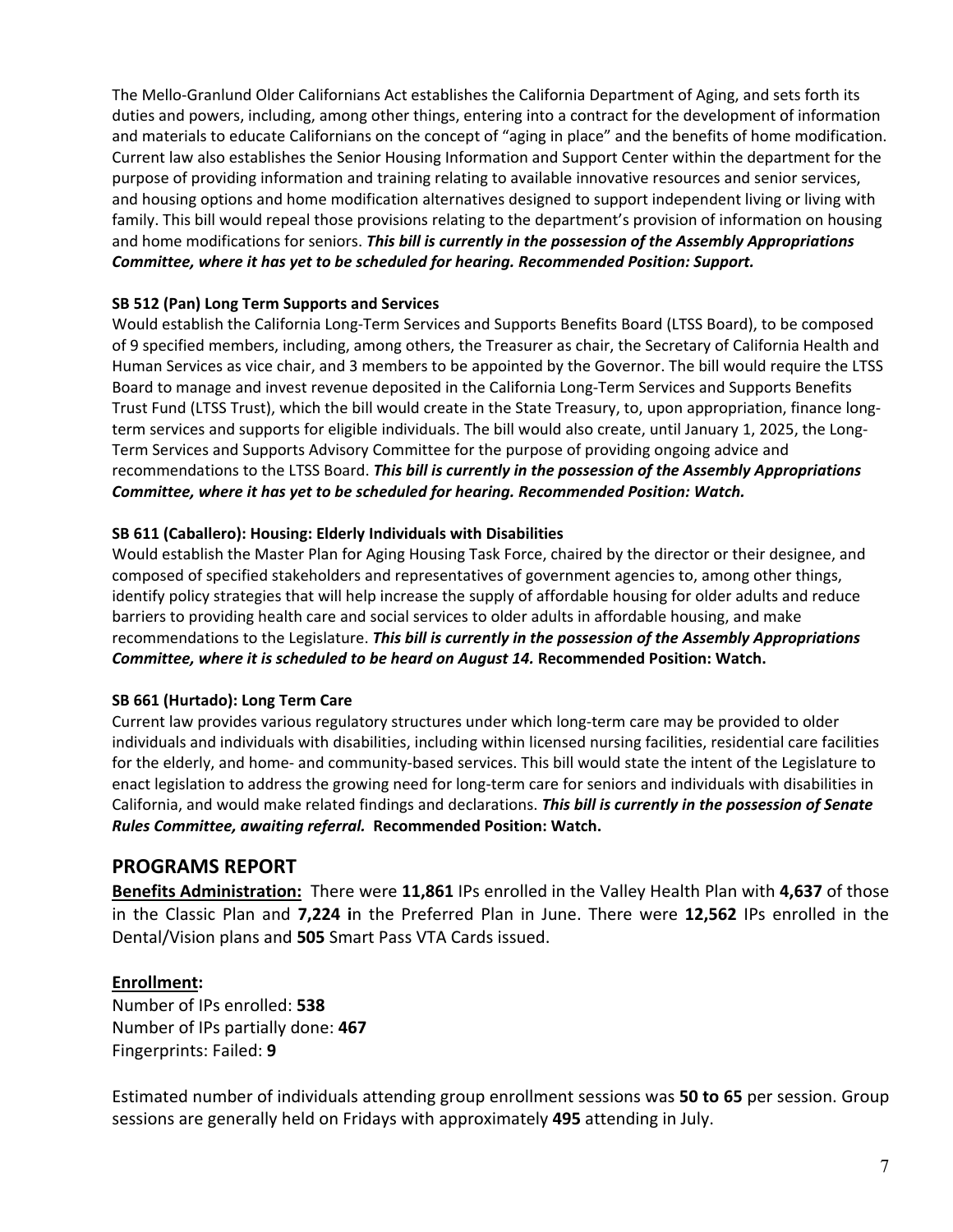The Mello‐Granlund Older Californians Act establishes the California Department of Aging, and sets forth its duties and powers, including, among other things, entering into a contract for the development of information and materials to educate Californians on the concept of "aging in place" and the benefits of home modification. Current law also establishes the Senior Housing Information and Support Center within the department for the purpose of providing information and training relating to available innovative resources and senior services, and housing options and home modification alternatives designed to support independent living or living with family. This bill would repeal those provisions relating to the department's provision of information on housing and home modifications for seniors. *This bill is currently in the possession of the Assembly Appropriations Committee, where it has yet to be scheduled for hearing. Recommended Position: Support.* 

## **SB 512 (Pan) Long Term Supports and Services**

Would establish the California Long-Term Services and Supports Benefits Board (LTSS Board), to be composed of 9 specified members, including, among others, the Treasurer as chair, the Secretary of California Health and Human Services as vice chair, and 3 members to be appointed by the Governor. The bill would require the LTSS Board to manage and invest revenue deposited in the California Long‐Term Services and Supports Benefits Trust Fund (LTSS Trust), which the bill would create in the State Treasury, to, upon appropriation, finance long‐ term services and supports for eligible individuals. The bill would also create, until January 1, 2025, the Long-Term Services and Supports Advisory Committee for the purpose of providing ongoing advice and recommendations to the LTSS Board. *This bill is currently in the possession of the Assembly Appropriations Committee, where it has yet to be scheduled for hearing. Recommended Position: Watch.* 

## **SB 611 (Caballero): Housing: Elderly Individuals with Disabilities**

Would establish the Master Plan for Aging Housing Task Force, chaired by the director or their designee, and composed of specified stakeholders and representatives of government agencies to, among other things, identify policy strategies that will help increase the supply of affordable housing for older adults and reduce barriers to providing health care and social services to older adults in affordable housing, and make recommendations to the Legislature. *This bill is currently in the possession of the Assembly Appropriations Committee, where it is scheduled to be heard on August 14.* **Recommended Position: Watch.** 

## **SB 661 (Hurtado): Long Term Care**

Current law provides various regulatory structures under which long‐term care may be provided to older individuals and individuals with disabilities, including within licensed nursing facilities, residential care facilities for the elderly, and home‐ and community‐based services. This bill would state the intent of the Legislature to enact legislation to address the growing need for long-term care for seniors and individuals with disabilities in California, and would make related findings and declarations. *This bill is currently in the possession of Senate Rules Committee, awaiting referral.* **Recommended Position: Watch.** 

## **PROGRAMS REPORT**

**Benefits Administration:** There were **11,861** IPs enrolled in the Valley Health Plan with **4,637** of those in the Classic Plan and **7,224 i**n the Preferred Plan in June. There were **12,562** IPs enrolled in the Dental/Vision plans and **505** Smart Pass VTA Cards issued.

## **Enrollment:**

Number of IPs enrolled: **538**  Number of IPs partially done: **467** Fingerprints: Failed: **9**

Estimated number of individuals attending group enrollment sessions was **50 to 65** per session. Group sessions are generally held on Fridays with approximately **495** attending in July.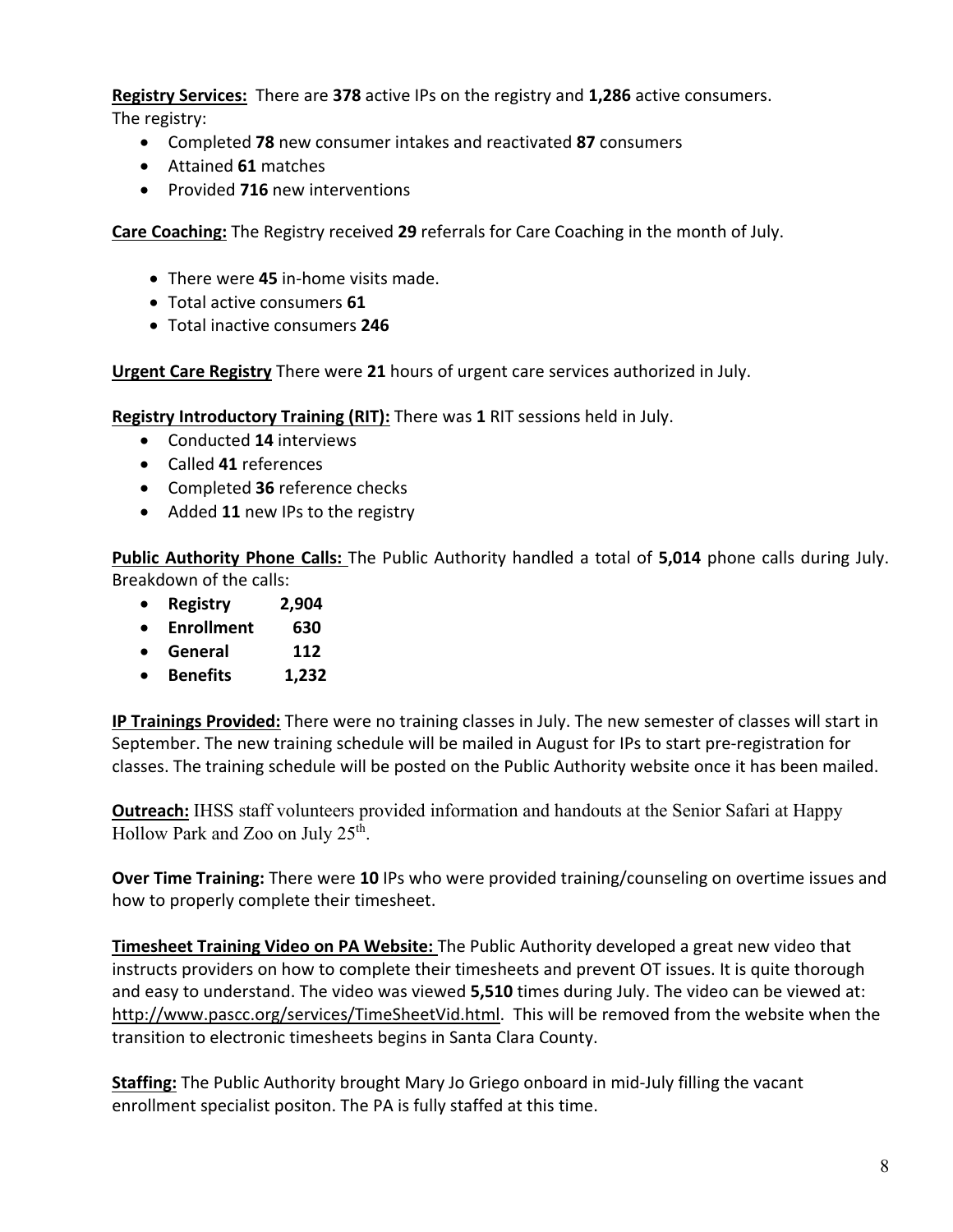**Registry Services:** There are **378** active IPs on the registry and **1,286** active consumers. The registry:

- Completed **78** new consumer intakes and reactivated **87** consumers
- Attained **61** matches
- Provided **716** new interventions

**Care Coaching:** The Registry received **29** referrals for Care Coaching in the month of July.

- There were **45** in‐home visits made.
- Total active consumers **61**
- Total inactive consumers **246**

**Urgent Care Registry** There were **21** hours of urgent care services authorized in July.

**Registry Introductory Training (RIT):** There was **1** RIT sessions held in July.

- Conducted **14** interviews
- Called **41** references
- Completed **36** reference checks
- Added **11** new IPs to the registry

**Public Authority Phone Calls:** The Public Authority handled a total of **5,014** phone calls during July. Breakdown of the calls:

- **Registry 2,904**
- **Enrollment 630**
- **General 112**
- **Benefits 1,232**

**IP Trainings Provided:** There were no training classes in July. The new semester of classes will start in September. The new training schedule will be mailed in August for IPs to start pre‐registration for classes. The training schedule will be posted on the Public Authority website once it has been mailed.

**Outreach:** IHSS staff volunteers provided information and handouts at the Senior Safari at Happy Hollow Park and Zoo on July 25th.

**Over Time Training:** There were **10** IPs who were provided training/counseling on overtime issues and how to properly complete their timesheet.

**Timesheet Training Video on PA Website:** The Public Authority developed a great new video that instructs providers on how to complete their timesheets and prevent OT issues. It is quite thorough and easy to understand. The video was viewed **5,510** times during July. The video can be viewed at: http://www.pascc.org/services/TimeSheetVid.html. This will be removed from the website when the transition to electronic timesheets begins in Santa Clara County.

**Staffing:** The Public Authority brought Mary Jo Griego onboard in mid‐July filling the vacant enrollment specialist positon. The PA is fully staffed at this time.